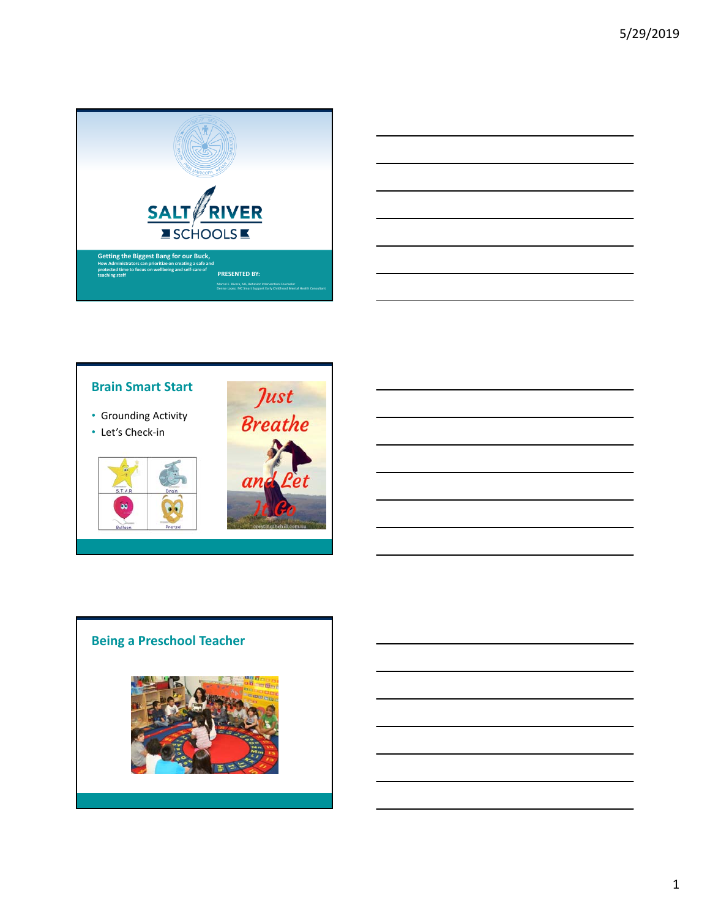





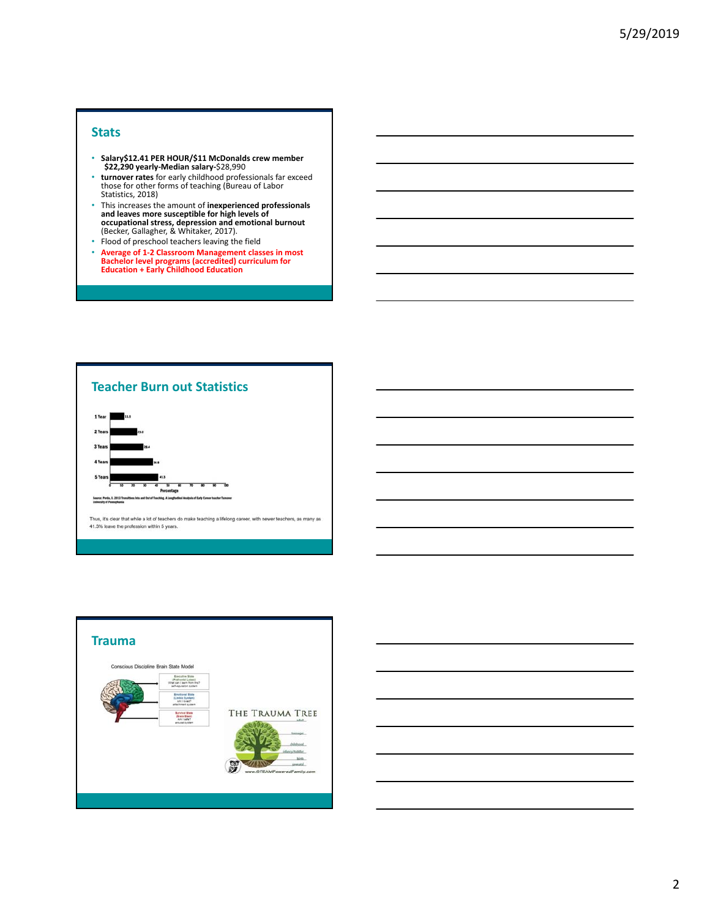### **Stats**

- **Salary\$12.41 PER HOUR/\$11 McDonalds crew member \$22,290 yearly‐Median salary‐**\$28,990
- **turnover rates** for early childhood professionals far exceed those for other forms of teaching (Bureau of Labor Statistics, 2018)
- This increases the amount of **inexperienced professionals and leaves more susceptible for high levels of occupational stress, depression and emotional burnout** (Becker, Gallagher, & Whitaker, 2017).
- Flood of preschool teachers leaving the field
- **Average of 1‐2 Classroom Management classes in most Bachelor level programs (accredited) curriculum for Education + Early Childhood Education**





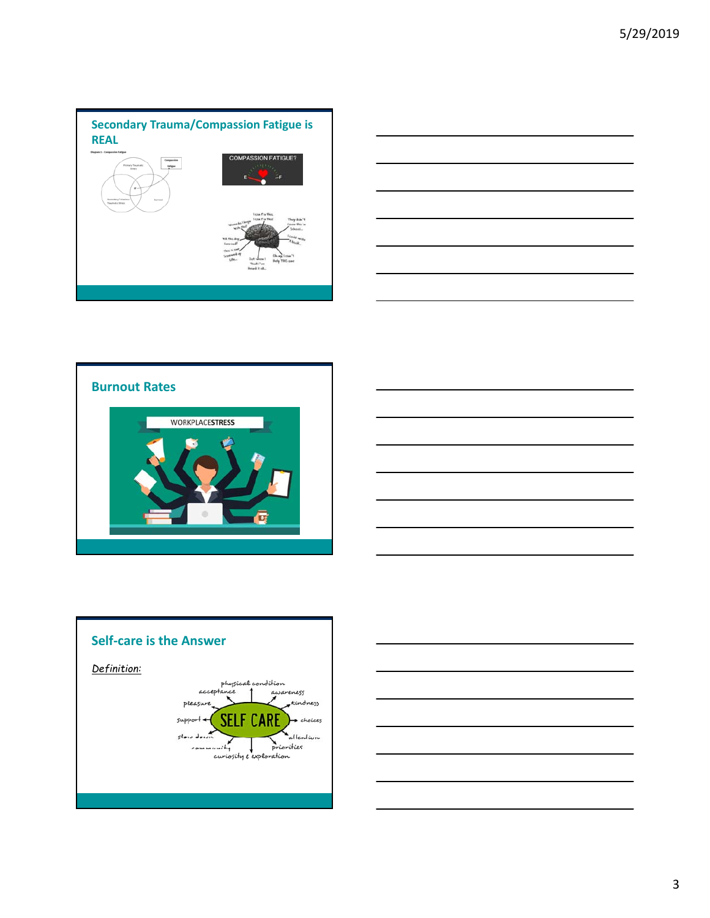









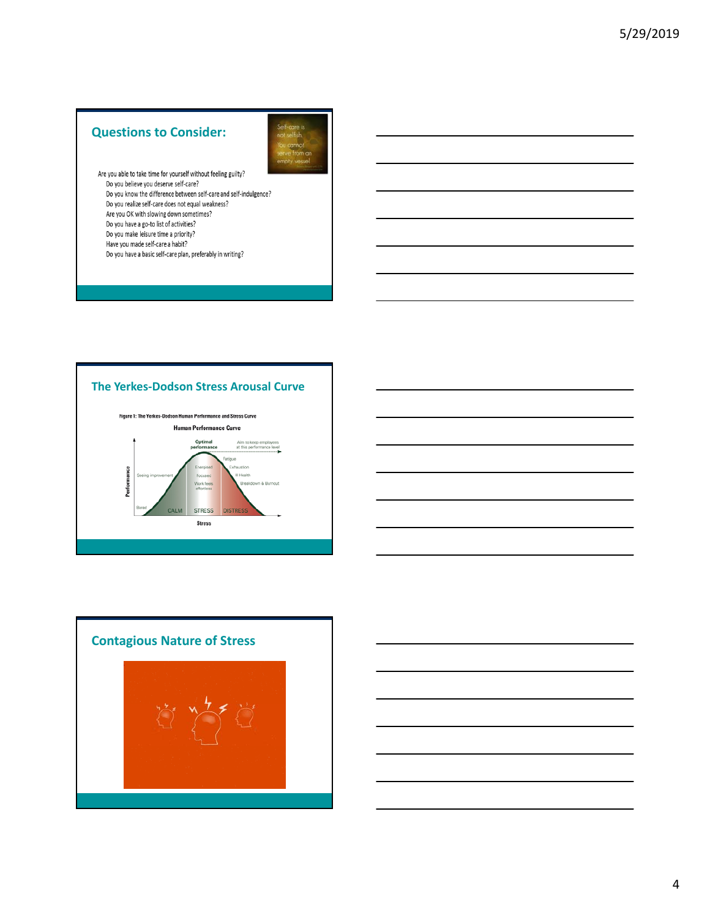# **Questions to Consider:**



Are you able to take time for yourself without feeling guilty? Do you believe you deserve self-care? Do you know the difference between self-care and self-indulgence?

- Do you realize self-care does not equal weakness?
- Are you OK with slowing down sometimes?
- Do you have a go-to list of activities?
- Do you make leisure time a priority? Have you made self-care a habit?
- Do you have a basic self-care plan, preferably in writing?





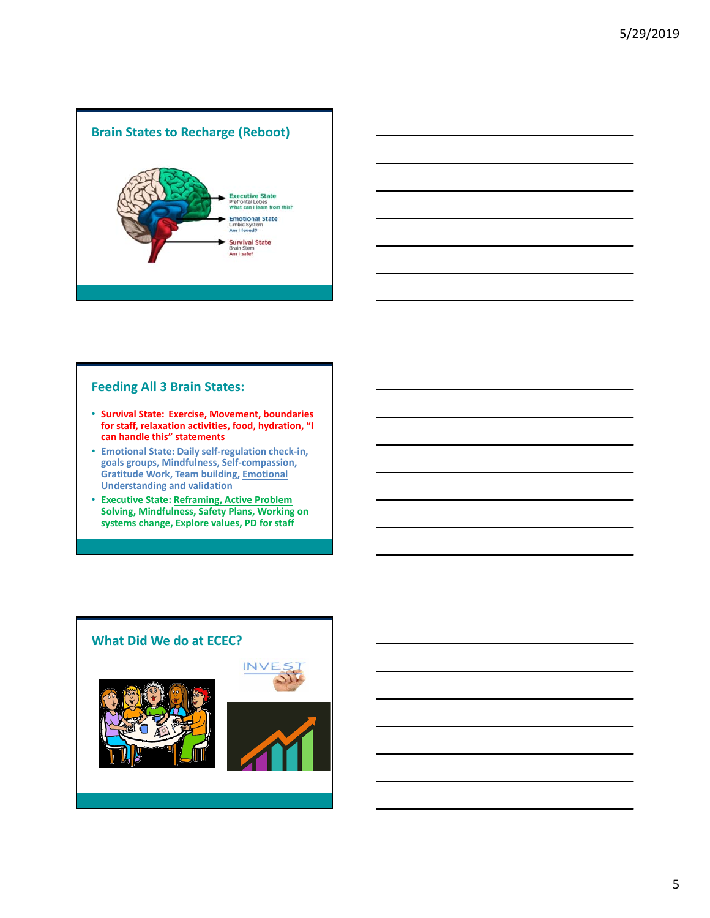



## **Feeding All 3 Brain States:**

- **Survival State: Exercise, Movement, boundaries for staff, relaxation activities, food, hydration, "I can handle this" statements**
- **Emotional State: Daily self‐regulation check‐in, goals groups, Mindfulness, Self‐compassion, Gratitude Work, Team building, Emotional Understanding and validation**
- **Executive State: Reframing, Active Problem Solving, Mindfulness, Safety Plans, Working on systems change, Explore values, PD for staff**

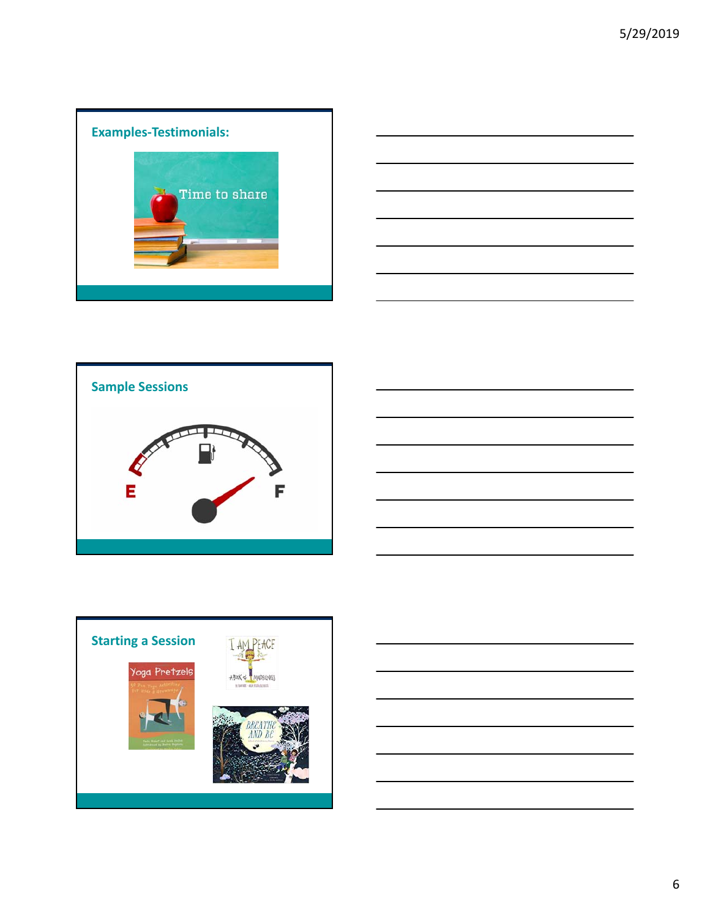









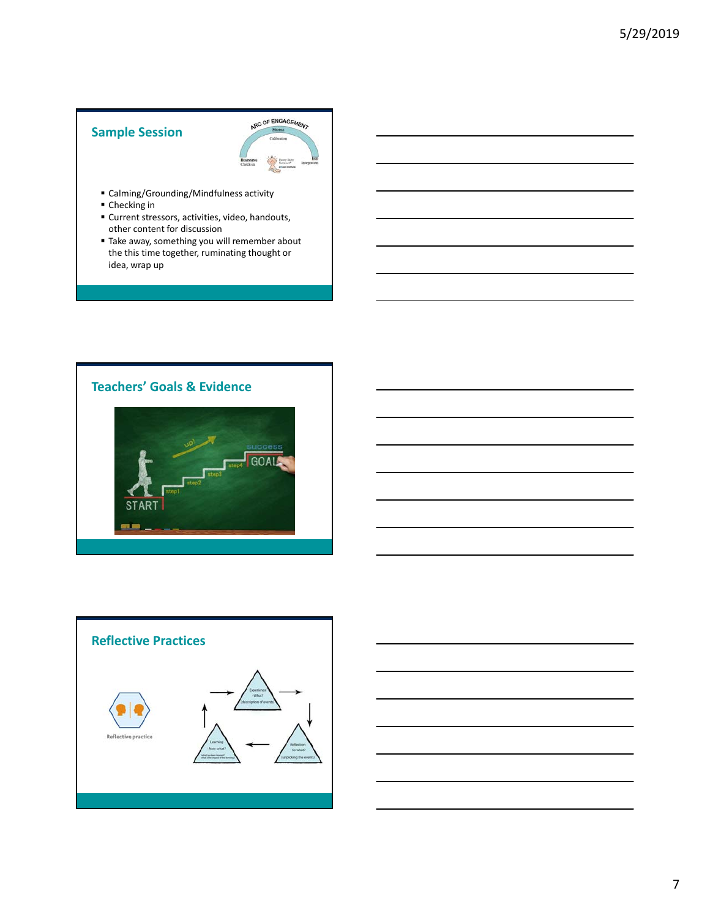# **Sample Session**



- Calming/Grounding/Mindfulness activity
- Checking in
- Current stressors, activities, video, handouts, other content for discussion
- Take away, something you will remember about the this time together, ruminating thought or idea, wrap up





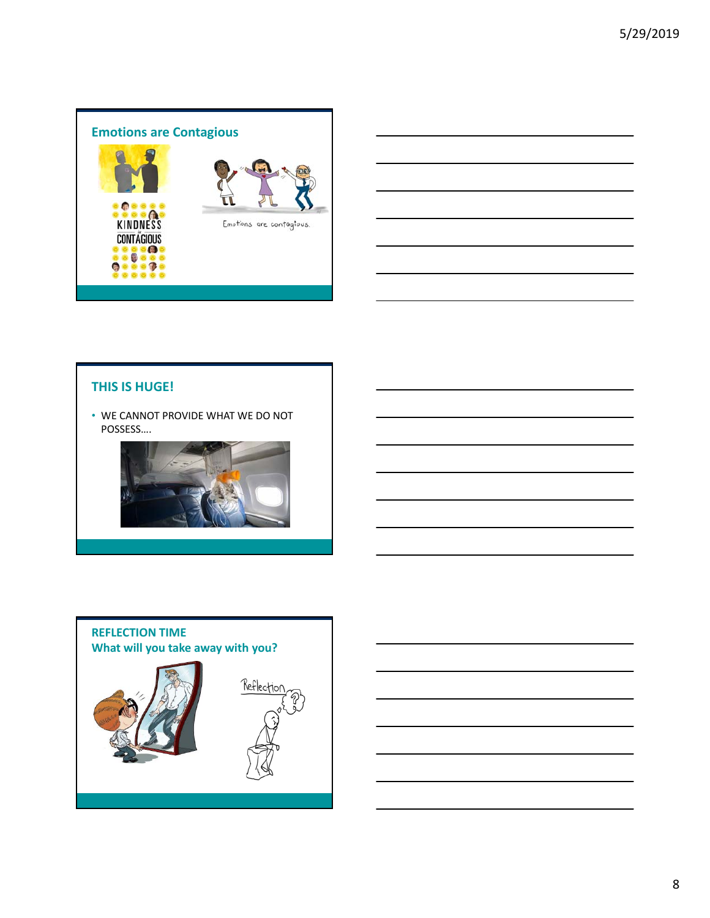



• WE CANNOT PROVIDE WHAT WE DO NOT POSSESS….